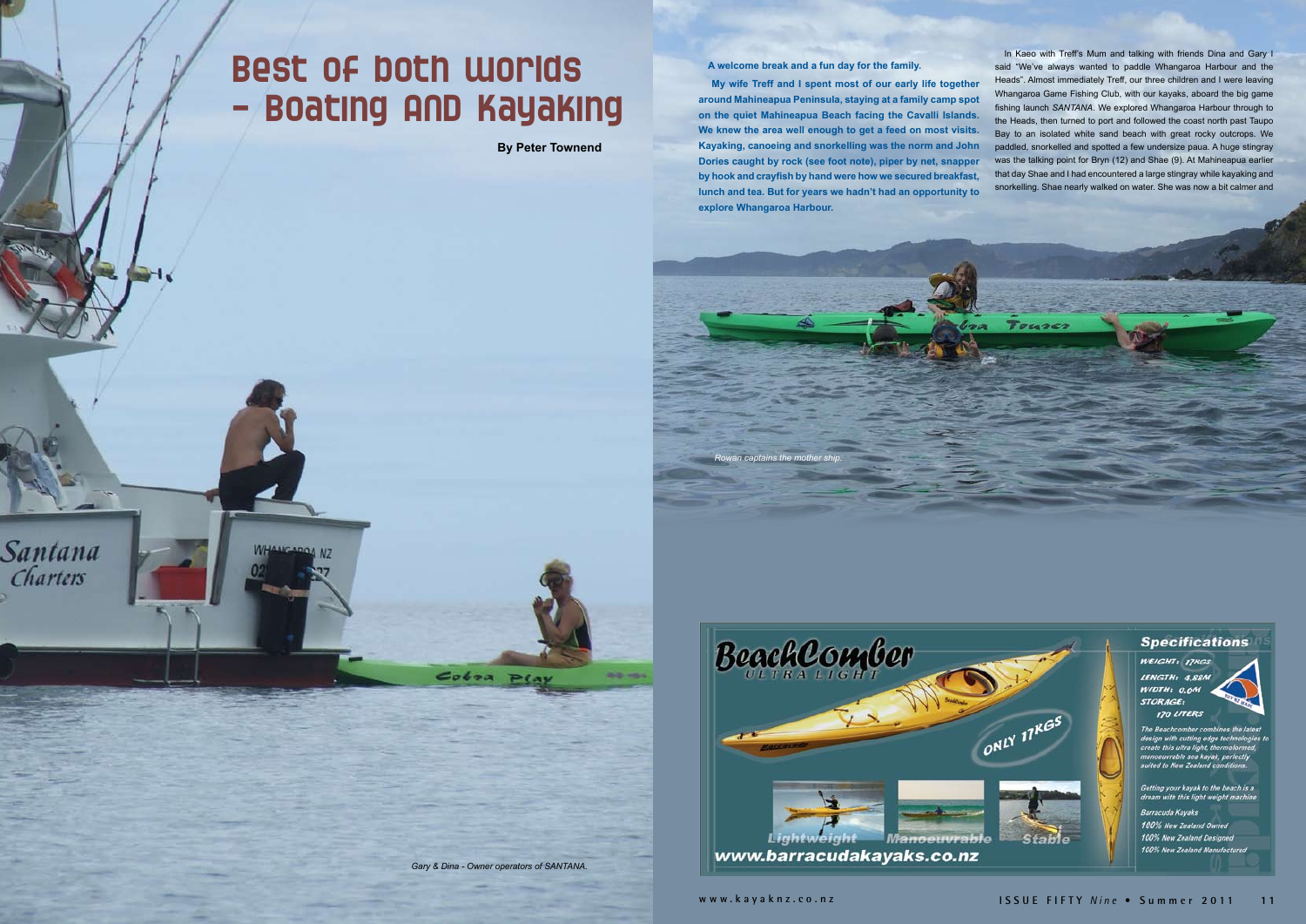## Best of both worlds - Boating AND Kayaking

WHANGAROA NZ

Santana

Charters

**By Peter Townend**

*Gary & Dina - Owner operators of SANTANA.*

 $Coboa$   $P(a)$ 

**A welcome break and a fun day for the family.**

 **My wife Treff and I spent most of our early life together around Mahineapua Peninsula, staying at a family camp spot on the quiet Mahineapua Beach facing the Cavalli Islands. We knew the area well enough to get a feed on most visits. Kayaking, canoeing and snorkelling was the norm and John Dories caught by rock (see foot note), piper by net, snapper by hook and crayfish by hand were how we secured breakfast, lunch and tea. But for years we hadn't had an opportunity to explore Whangaroa Harbour.**

In Kaeo with Treff's Mum and talking with friends Dina and Gary I said "We've always wanted to paddle Whangaroa Harbour and the Heads". Almost immediately Treff, our three children and I were leaving Whangaroa Game Fishing Club, with our kayaks, aboard the big game fishing launch *SANTANA*. We explored Whangaroa Harbour through to the Heads, then turned to port and followed the coast north past Taupo Bay to an isolated white sand beach with great rocky outcrops. We paddled, snorkelled and spotted a few undersize paua. A huge stingray was the talking point for Bryn (12) and Shae (9). At Mahineapua earlier that day Shae and I had encountered a large stingray while kayaking and snorkelling. Shae nearly walked on water. She was now a bit calmer and





Touse